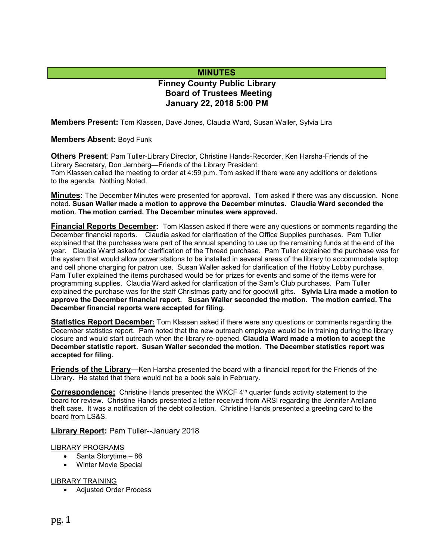# **MINUTES**

# **Finney County Public Library Board of Trustees Meeting January 22, 2018 5:00 PM**

**Members Present:** Tom Klassen, Dave Jones, Claudia Ward, Susan Waller, Sylvia Lira

**Members Absent:** Boyd Funk

**Others Present**: Pam Tuller-Library Director, Christine Hands-Recorder, Ken Harsha-Friends of the Library Secretary, Don Jernberg—Friends of the Library President. Tom Klassen called the meeting to order at 4:59 p.m. Tom asked if there were any additions or deletions to the agenda. Nothing Noted.

**Minutes:** The December Minutes were presented for approval**.** Tom asked if there was any discussion. None noted. **Susan Waller made a motion to approve the December minutes. Claudia Ward seconded the motion**. **The motion carried. The December minutes were approved.** 

**Financial Reports December:** Tom Klassen asked if there were any questions or comments regarding the December financial reports. Claudia asked for clarification of the Office Supplies purchases. Pam Tuller explained that the purchases were part of the annual spending to use up the remaining funds at the end of the year. Claudia Ward asked for clarification of the Thread purchase. Pam Tuller explained the purchase was for the system that would allow power stations to be installed in several areas of the library to accommodate laptop and cell phone charging for patron use. Susan Waller asked for clarification of the Hobby Lobby purchase. Pam Tuller explained the items purchased would be for prizes for events and some of the items were for programming supplies. Claudia Ward asked for clarification of the Sam's Club purchases. Pam Tuller explained the purchase was for the staff Christmas party and for goodwill gifts. **Sylvia Lira made a motion to approve the December financial report. Susan Waller seconded the motion**. **The motion carried. The December financial reports were accepted for filing.**

**Statistics Report December:** Tom Klassen asked if there were any questions or comments regarding the December statistics report. Pam noted that the new outreach employee would be in training during the library closure and would start outreach when the library re-opened. **Claudia Ward made a motion to accept the December statistic report. Susan Waller seconded the motion**. **The December statistics report was accepted for filing.**

**Friends of the Library**—Ken Harsha presented the board with a financial report for the Friends of the Library. He stated that there would not be a book sale in February.

**Correspondence:** Christine Hands presented the WKCF 4<sup>th</sup> quarter funds activity statement to the board for review. Christine Hands presented a letter received from ARSI regarding the Jennifer Arellano theft case. It was a notification of the debt collection. Christine Hands presented a greeting card to the board from LS&S.

#### **Library Report: Pam Tuller--January 2018**

#### LIBRARY PROGRAMS

- Santa Storytime 86
- Winter Movie Special

#### LIBRARY TRAINING

• Adjusted Order Process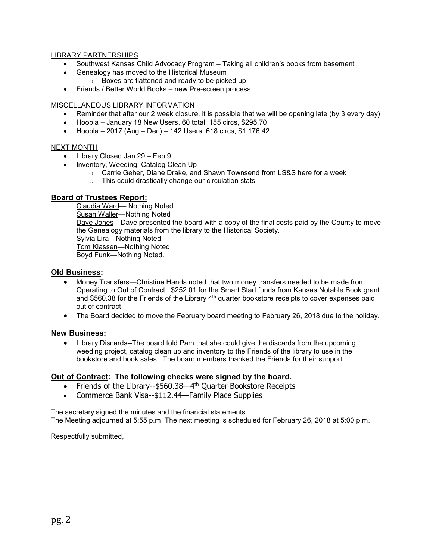#### LIBRARY PARTNERSHIPS

- Southwest Kansas Child Advocacy Program Taking all children's books from basement
- Genealogy has moved to the Historical Museum
	- o Boxes are flattened and ready to be picked up
- Friends / Better World Books new Pre-screen process

### MISCELLANEOUS LIBRARY INFORMATION

- Reminder that after our 2 week closure, it is possible that we will be opening late (by 3 every day)
- Hoopla January 18 New Users, 60 total, 155 circs, \$295.70
- Hoopla 2017 (Aug Dec) 142 Users, 618 circs, \$1,176.42

#### NEXT MONTH

- Library Closed Jan 29 Feb 9
- Inventory, Weeding, Catalog Clean Up
	- o Carrie Geher, Diane Drake, and Shawn Townsend from LS&S here for a week
	- o This could drastically change our circulation stats

## **Board of Trustees Report:**

Claudia Ward— Nothing Noted Susan Waller—Nothing Noted Dave Jones—Dave presented the board with a copy of the final costs paid by the County to move the Genealogy materials from the library to the Historical Society. Sylvia Lira—Nothing Noted Tom Klassen—Nothing Noted Boyd Funk—Nothing Noted.

#### **Old Business:**

- Money Transfers—Christine Hands noted that two money transfers needed to be made from Operating to Out of Contract. \$252.01 for the Smart Start funds from Kansas Notable Book grant and \$560.38 for the Friends of the Library  $4<sup>th</sup>$  quarter bookstore receipts to cover expenses paid out of contract.
- The Board decided to move the February board meeting to February 26, 2018 due to the holiday.

## **New Business:**

• Library Discards--The board told Pam that she could give the discards from the upcoming weeding project, catalog clean up and inventory to the Friends of the library to use in the bookstore and book sales. The board members thanked the Friends for their support.

## **Out of Contract: The following checks were signed by the board.**

- Friends of the Library--\$560.38—4<sup>th</sup> Quarter Bookstore Receipts
- Commerce Bank Visa--\$112.44—Family Place Supplies

The secretary signed the minutes and the financial statements. The Meeting adjourned at 5:55 p.m. The next meeting is scheduled for February 26, 2018 at 5:00 p.m.

Respectfully submitted,